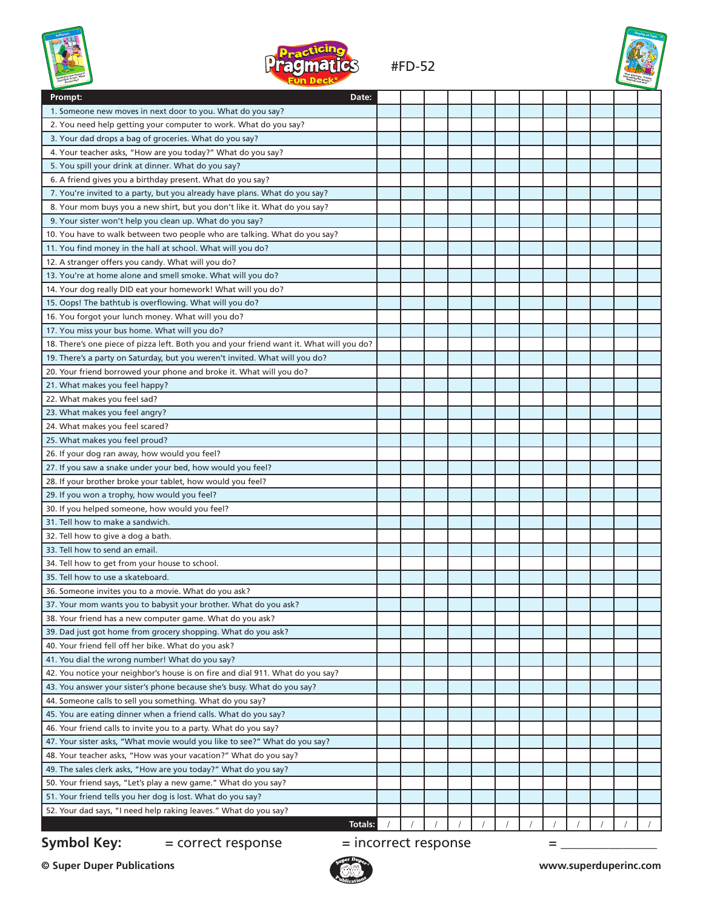



### #FD-52



| <b>CONTRACTOR</b>                                                                        | <u>UN PUUN</u>       |  |  |  |   |  |  |
|------------------------------------------------------------------------------------------|----------------------|--|--|--|---|--|--|
| Prompt:                                                                                  | Date:                |  |  |  |   |  |  |
| 1. Someone new moves in next door to you. What do you say?                               |                      |  |  |  |   |  |  |
| 2. You need help getting your computer to work. What do you say?                         |                      |  |  |  |   |  |  |
| 3. Your dad drops a bag of groceries. What do you say?                                   |                      |  |  |  |   |  |  |
| 4. Your teacher asks, "How are you today?" What do you say?                              |                      |  |  |  |   |  |  |
| 5. You spill your drink at dinner. What do you say?                                      |                      |  |  |  |   |  |  |
| 6. A friend gives you a birthday present. What do you say?                               |                      |  |  |  |   |  |  |
| 7. You're invited to a party, but you already have plans. What do you say?               |                      |  |  |  |   |  |  |
| 8. Your mom buys you a new shirt, but you don't like it. What do you say?                |                      |  |  |  |   |  |  |
| 9. Your sister won't help you clean up. What do you say?                                 |                      |  |  |  |   |  |  |
| 10. You have to walk between two people who are talking. What do you say?                |                      |  |  |  |   |  |  |
| 11. You find money in the hall at school. What will you do?                              |                      |  |  |  |   |  |  |
| 12. A stranger offers you candy. What will you do?                                       |                      |  |  |  |   |  |  |
| 13. You're at home alone and smell smoke. What will you do?                              |                      |  |  |  |   |  |  |
| 14. Your dog really DID eat your homework! What will you do?                             |                      |  |  |  |   |  |  |
| 15. Oops! The bathtub is overflowing. What will you do?                                  |                      |  |  |  |   |  |  |
| 16. You forgot your lunch money. What will you do?                                       |                      |  |  |  |   |  |  |
| 17. You miss your bus home. What will you do?                                            |                      |  |  |  |   |  |  |
| 18. There's one piece of pizza left. Both you and your friend want it. What will you do? |                      |  |  |  |   |  |  |
| 19. There's a party on Saturday, but you weren't invited. What will you do?              |                      |  |  |  |   |  |  |
| 20. Your friend borrowed your phone and broke it. What will you do?                      |                      |  |  |  |   |  |  |
| 21. What makes you feel happy?                                                           |                      |  |  |  |   |  |  |
| 22. What makes you feel sad?                                                             |                      |  |  |  |   |  |  |
| 23. What makes you feel angry?                                                           |                      |  |  |  |   |  |  |
| 24. What makes you feel scared?                                                          |                      |  |  |  |   |  |  |
| 25. What makes you feel proud?                                                           |                      |  |  |  |   |  |  |
| 26. If your dog ran away, how would you feel?                                            |                      |  |  |  |   |  |  |
| 27. If you saw a snake under your bed, how would you feel?                               |                      |  |  |  |   |  |  |
| 28. If your brother broke your tablet, how would you feel?                               |                      |  |  |  |   |  |  |
| 29. If you won a trophy, how would you feel?                                             |                      |  |  |  |   |  |  |
| 30. If you helped someone, how would you feel?                                           |                      |  |  |  |   |  |  |
| 31. Tell how to make a sandwich.                                                         |                      |  |  |  |   |  |  |
| 32. Tell how to give a dog a bath.                                                       |                      |  |  |  |   |  |  |
| 33. Tell how to send an email.                                                           |                      |  |  |  |   |  |  |
| 34. Tell how to get from your house to school.                                           |                      |  |  |  |   |  |  |
| 35. Tell how to use a skateboard.                                                        |                      |  |  |  |   |  |  |
| 36. Someone invites you to a movie. What do you ask?                                     |                      |  |  |  |   |  |  |
| 37. Your mom wants you to babysit your brother. What do you ask?                         |                      |  |  |  |   |  |  |
| 38. Your friend has a new computer game. What do you ask?                                |                      |  |  |  |   |  |  |
| 39. Dad just got home from grocery shopping. What do you ask?                            |                      |  |  |  |   |  |  |
|                                                                                          |                      |  |  |  |   |  |  |
| 40. Your friend fell off her bike. What do you ask?                                      |                      |  |  |  |   |  |  |
| 41. You dial the wrong number! What do you say?                                          |                      |  |  |  |   |  |  |
| 42. You notice your neighbor's house is on fire and dial 911. What do you say?           |                      |  |  |  |   |  |  |
| 43. You answer your sister's phone because she's busy. What do you say?                  |                      |  |  |  |   |  |  |
| 44. Someone calls to sell you something. What do you say?                                |                      |  |  |  |   |  |  |
| 45. You are eating dinner when a friend calls. What do you say?                          |                      |  |  |  |   |  |  |
| 46. Your friend calls to invite you to a party. What do you say?                         |                      |  |  |  |   |  |  |
| 47. Your sister asks, "What movie would you like to see?" What do you say?               |                      |  |  |  |   |  |  |
| 48. Your teacher asks, "How was your vacation?" What do you say?                         |                      |  |  |  |   |  |  |
| 49. The sales clerk asks, "How are you today?" What do you say?                          |                      |  |  |  |   |  |  |
| 50. Your friend says, "Let's play a new game." What do you say?                          |                      |  |  |  |   |  |  |
| 51. Your friend tells you her dog is lost. What do you say?                              |                      |  |  |  |   |  |  |
| 52. Your dad says, "I need help raking leaves." What do you say?                         |                      |  |  |  |   |  |  |
|                                                                                          | Totals:              |  |  |  |   |  |  |
| Symbol Key:<br>= correct response                                                        | = incorrect response |  |  |  | = |  |  |

**© Super Duper Publications www.superduperinc.com**